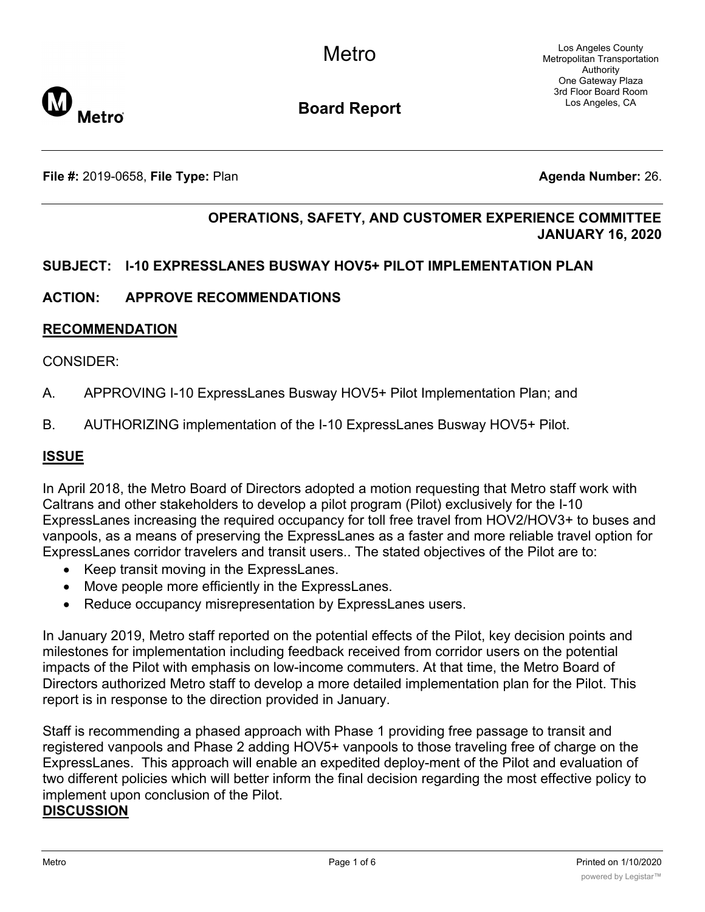

**Board Report**

**File #:** 2019-0658, File Type: Plan **Agenda Number:** 26.

# **OPERATIONS, SAFETY, AND CUSTOMER EXPERIENCE COMMITTEE JANUARY 16, 2020**

# **SUBJECT: I-10 EXPRESSLANES BUSWAY HOV5+ PILOT IMPLEMENTATION PLAN**

# **ACTION: APPROVE RECOMMENDATIONS**

# **RECOMMENDATION**

# CONSIDER:

- A. APPROVING I-10 ExpressLanes Busway HOV5+ Pilot Implementation Plan; and
- B. AUTHORIZING implementation of the I-10 ExpressLanes Busway HOV5+ Pilot.

# **ISSUE**

In April 2018, the Metro Board of Directors adopted a motion requesting that Metro staff work with Caltrans and other stakeholders to develop a pilot program (Pilot) exclusively for the I-10 ExpressLanes increasing the required occupancy for toll free travel from HOV2/HOV3+ to buses and vanpools, as a means of preserving the ExpressLanes as a faster and more reliable travel option for ExpressLanes corridor travelers and transit users.. The stated objectives of the Pilot are to:

- · Keep transit moving in the ExpressLanes.
- · Move people more efficiently in the ExpressLanes.
- · Reduce occupancy misrepresentation by ExpressLanes users.

In January 2019, Metro staff reported on the potential effects of the Pilot, key decision points and milestones for implementation including feedback received from corridor users on the potential impacts of the Pilot with emphasis on low-income commuters. At that time, the Metro Board of Directors authorized Metro staff to develop a more detailed implementation plan for the Pilot. This report is in response to the direction provided in January.

Staff is recommending a phased approach with Phase 1 providing free passage to transit and registered vanpools and Phase 2 adding HOV5+ vanpools to those traveling free of charge on the ExpressLanes. This approach will enable an expedited deploy-ment of the Pilot and evaluation of two different policies which will better inform the final decision regarding the most effective policy to implement upon conclusion of the Pilot.

# **DISCUSSION**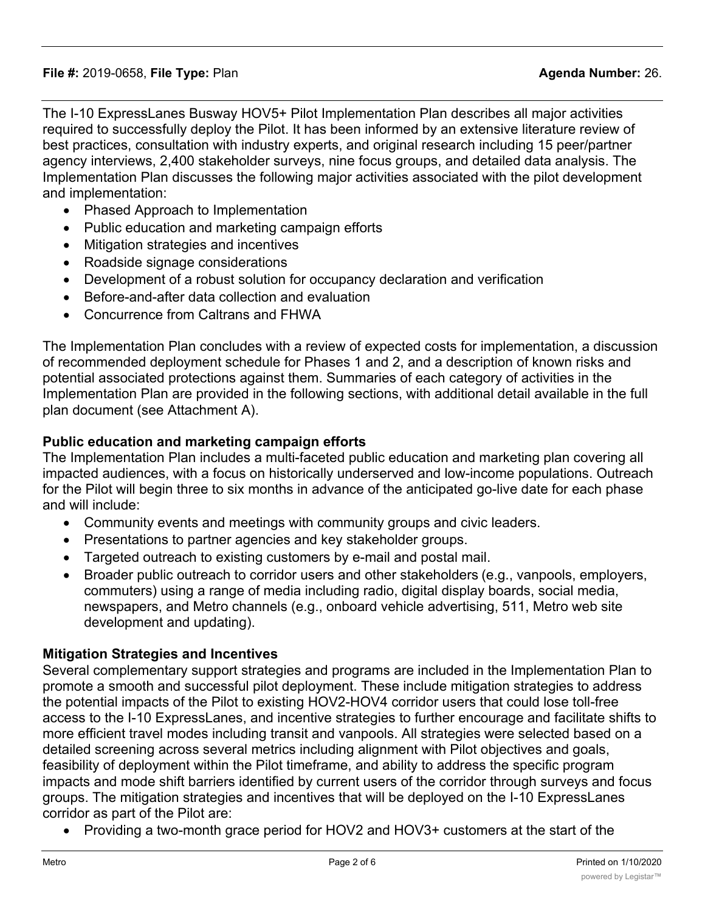The I-10 ExpressLanes Busway HOV5+ Pilot Implementation Plan describes all major activities required to successfully deploy the Pilot. It has been informed by an extensive literature review of best practices, consultation with industry experts, and original research including 15 peer/partner agency interviews, 2,400 stakeholder surveys, nine focus groups, and detailed data analysis. The Implementation Plan discusses the following major activities associated with the pilot development and implementation:

- · Phased Approach to Implementation
- · Public education and marketing campaign efforts
- · Mitigation strategies and incentives
- · Roadside signage considerations
- · Development of a robust solution for occupancy declaration and verification
- · Before-and-after data collection and evaluation
- · Concurrence from Caltrans and FHWA

The Implementation Plan concludes with a review of expected costs for implementation, a discussion of recommended deployment schedule for Phases 1 and 2, and a description of known risks and potential associated protections against them. Summaries of each category of activities in the Implementation Plan are provided in the following sections, with additional detail available in the full plan document (see Attachment A).

# **Public education and marketing campaign efforts**

The Implementation Plan includes a multi-faceted public education and marketing plan covering all impacted audiences, with a focus on historically underserved and low-income populations. Outreach for the Pilot will begin three to six months in advance of the anticipated go-live date for each phase and will include:

- · Community events and meetings with community groups and civic leaders.
- · Presentations to partner agencies and key stakeholder groups.
- · Targeted outreach to existing customers by e-mail and postal mail.
- · Broader public outreach to corridor users and other stakeholders (e.g., vanpools, employers, commuters) using a range of media including radio, digital display boards, social media, newspapers, and Metro channels (e.g., onboard vehicle advertising, 511, Metro web site development and updating).

# **Mitigation Strategies and Incentives**

Several complementary support strategies and programs are included in the Implementation Plan to promote a smooth and successful pilot deployment. These include mitigation strategies to address the potential impacts of the Pilot to existing HOV2-HOV4 corridor users that could lose toll-free access to the I-10 ExpressLanes, and incentive strategies to further encourage and facilitate shifts to more efficient travel modes including transit and vanpools. All strategies were selected based on a detailed screening across several metrics including alignment with Pilot objectives and goals, feasibility of deployment within the Pilot timeframe, and ability to address the specific program impacts and mode shift barriers identified by current users of the corridor through surveys and focus groups. The mitigation strategies and incentives that will be deployed on the I-10 ExpressLanes corridor as part of the Pilot are:

· Providing a two-month grace period for HOV2 and HOV3+ customers at the start of the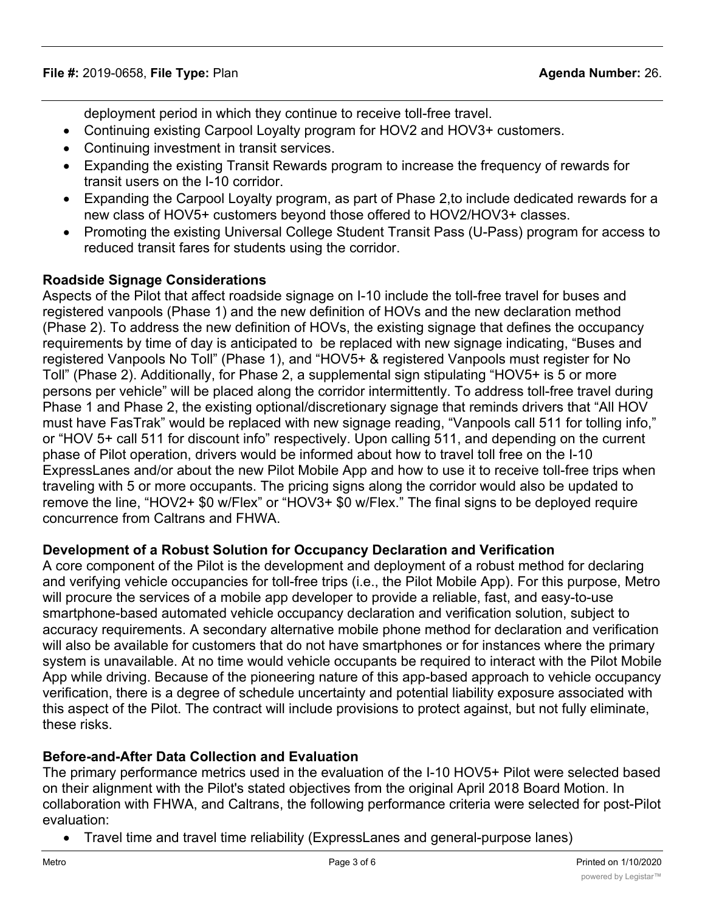deployment period in which they continue to receive toll-free travel.

- Continuing existing Carpool Loyalty program for HOV2 and HOV3+ customers.
- Continuing investment in transit services.
- · Expanding the existing Transit Rewards program to increase the frequency of rewards for transit users on the I-10 corridor.
- · Expanding the Carpool Loyalty program, as part of Phase 2,to include dedicated rewards for a new class of HOV5+ customers beyond those offered to HOV2/HOV3+ classes.
- · Promoting the existing Universal College Student Transit Pass (U-Pass) program for access to reduced transit fares for students using the corridor.

# **Roadside Signage Considerations**

Aspects of the Pilot that affect roadside signage on I-10 include the toll-free travel for buses and registered vanpools (Phase 1) and the new definition of HOVs and the new declaration method (Phase 2). To address the new definition of HOVs, the existing signage that defines the occupancy requirements by time of day is anticipated to be replaced with new signage indicating, "Buses and registered Vanpools No Toll" (Phase 1), and "HOV5+ & registered Vanpools must register for No Toll" (Phase 2). Additionally, for Phase 2, a supplemental sign stipulating "HOV5+ is 5 or more persons per vehicle" will be placed along the corridor intermittently. To address toll-free travel during Phase 1 and Phase 2, the existing optional/discretionary signage that reminds drivers that "All HOV must have FasTrak" would be replaced with new signage reading, "Vanpools call 511 for tolling info," or "HOV 5+ call 511 for discount info" respectively. Upon calling 511, and depending on the current phase of Pilot operation, drivers would be informed about how to travel toll free on the I-10 ExpressLanes and/or about the new Pilot Mobile App and how to use it to receive toll-free trips when traveling with 5 or more occupants. The pricing signs along the corridor would also be updated to remove the line, "HOV2+ \$0 w/Flex" or "HOV3+ \$0 w/Flex." The final signs to be deployed require concurrence from Caltrans and FHWA.

# **Development of a Robust Solution for Occupancy Declaration and Verification**

A core component of the Pilot is the development and deployment of a robust method for declaring and verifying vehicle occupancies for toll-free trips (i.e., the Pilot Mobile App). For this purpose, Metro will procure the services of a mobile app developer to provide a reliable, fast, and easy-to-use smartphone-based automated vehicle occupancy declaration and verification solution, subject to accuracy requirements. A secondary alternative mobile phone method for declaration and verification will also be available for customers that do not have smartphones or for instances where the primary system is unavailable. At no time would vehicle occupants be required to interact with the Pilot Mobile App while driving. Because of the pioneering nature of this app-based approach to vehicle occupancy verification, there is a degree of schedule uncertainty and potential liability exposure associated with this aspect of the Pilot. The contract will include provisions to protect against, but not fully eliminate, these risks.

# **Before-and-After Data Collection and Evaluation**

The primary performance metrics used in the evaluation of the I-10 HOV5+ Pilot were selected based on their alignment with the Pilot's stated objectives from the original April 2018 Board Motion. In collaboration with FHWA, and Caltrans, the following performance criteria were selected for post-Pilot evaluation:

· Travel time and travel time reliability (ExpressLanes and general-purpose lanes)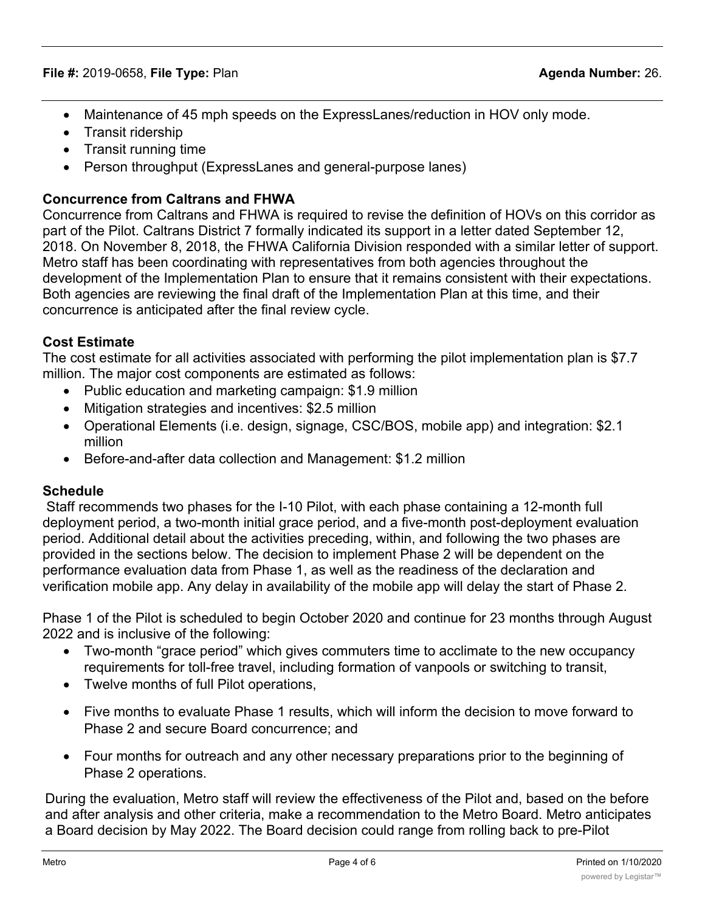- · Maintenance of 45 mph speeds on the ExpressLanes/reduction in HOV only mode.
- · Transit ridership
- Transit running time
- · Person throughput (ExpressLanes and general-purpose lanes)

# **Concurrence from Caltrans and FHWA**

Concurrence from Caltrans and FHWA is required to revise the definition of HOVs on this corridor as part of the Pilot. Caltrans District 7 formally indicated its support in a letter dated September 12, 2018. On November 8, 2018, the FHWA California Division responded with a similar letter of support. Metro staff has been coordinating with representatives from both agencies throughout the development of the Implementation Plan to ensure that it remains consistent with their expectations. Both agencies are reviewing the final draft of the Implementation Plan at this time, and their concurrence is anticipated after the final review cycle.

# **Cost Estimate**

The cost estimate for all activities associated with performing the pilot implementation plan is \$7.7 million. The major cost components are estimated as follows:

- Public education and marketing campaign: \$1.9 million
- · Mitigation strategies and incentives: \$2.5 million
- · Operational Elements (i.e. design, signage, CSC/BOS, mobile app) and integration: \$2.1 million
- · Before-and-after data collection and Management: \$1.2 million

# **Schedule**

 Staff recommends two phases for the I-10 Pilot, with each phase containing a 12-month full deployment period, a two-month initial grace period, and a five-month post-deployment evaluation period. Additional detail about the activities preceding, within, and following the two phases are provided in the sections below. The decision to implement Phase 2 will be dependent on the performance evaluation data from Phase 1, as well as the readiness of the declaration and verification mobile app. Any delay in availability of the mobile app will delay the start of Phase 2.

Phase 1 of the Pilot is scheduled to begin October 2020 and continue for 23 months through August 2022 and is inclusive of the following:

- · Two-month "grace period" which gives commuters time to acclimate to the new occupancy requirements for toll-free travel, including formation of vanpools or switching to transit,
- · Twelve months of full Pilot operations,
- · Five months to evaluate Phase 1 results, which will inform the decision to move forward to Phase 2 and secure Board concurrence; and
- · Four months for outreach and any other necessary preparations prior to the beginning of Phase 2 operations.

During the evaluation, Metro staff will review the effectiveness of the Pilot and, based on the before and after analysis and other criteria, make a recommendation to the Metro Board. Metro anticipates a Board decision by May 2022. The Board decision could range from rolling back to pre-Pilot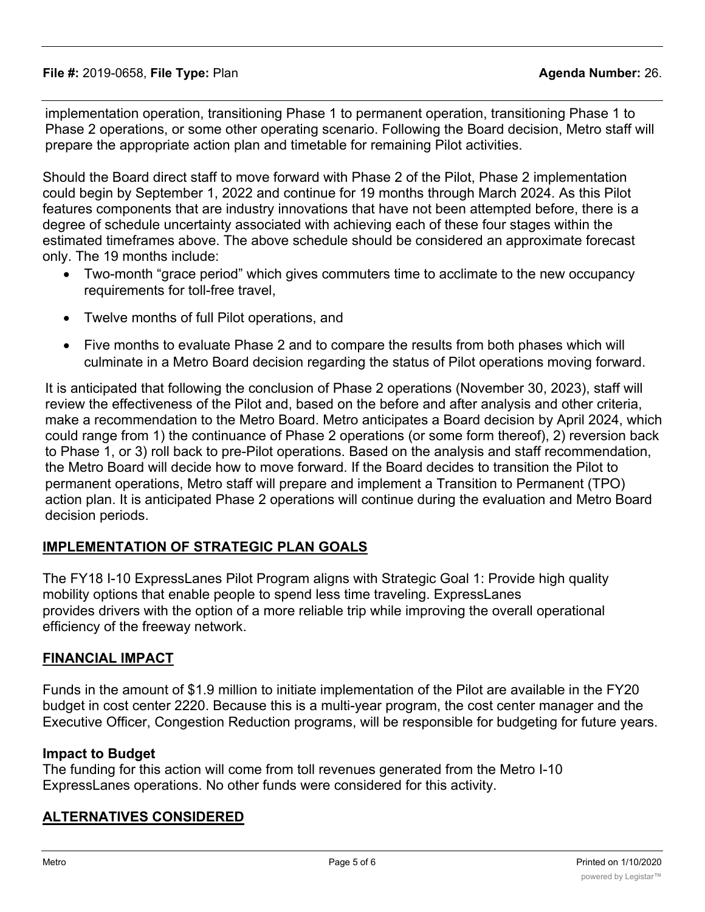implementation operation, transitioning Phase 1 to permanent operation, transitioning Phase 1 to Phase 2 operations, or some other operating scenario. Following the Board decision, Metro staff will prepare the appropriate action plan and timetable for remaining Pilot activities.

Should the Board direct staff to move forward with Phase 2 of the Pilot, Phase 2 implementation could begin by September 1, 2022 and continue for 19 months through March 2024. As this Pilot features components that are industry innovations that have not been attempted before, there is a degree of schedule uncertainty associated with achieving each of these four stages within the estimated timeframes above. The above schedule should be considered an approximate forecast only. The 19 months include:

- · Two-month "grace period" which gives commuters time to acclimate to the new occupancy requirements for toll-free travel,
- · Twelve months of full Pilot operations, and
- · Five months to evaluate Phase 2 and to compare the results from both phases which will culminate in a Metro Board decision regarding the status of Pilot operations moving forward.

It is anticipated that following the conclusion of Phase 2 operations (November 30, 2023), staff will review the effectiveness of the Pilot and, based on the before and after analysis and other criteria, make a recommendation to the Metro Board. Metro anticipates a Board decision by April 2024, which could range from 1) the continuance of Phase 2 operations (or some form thereof), 2) reversion back to Phase 1, or 3) roll back to pre-Pilot operations. Based on the analysis and staff recommendation, the Metro Board will decide how to move forward. If the Board decides to transition the Pilot to permanent operations, Metro staff will prepare and implement a Transition to Permanent (TPO) action plan. It is anticipated Phase 2 operations will continue during the evaluation and Metro Board decision periods.

# **IMPLEMENTATION OF STRATEGIC PLAN GOALS**

The FY18 I-10 ExpressLanes Pilot Program aligns with Strategic Goal 1: Provide high quality mobility options that enable people to spend less time traveling. ExpressLanes provides drivers with the option of a more reliable trip while improving the overall operational efficiency of the freeway network.

# **FINANCIAL IMPACT**

Funds in the amount of \$1.9 million to initiate implementation of the Pilot are available in the FY20 budget in cost center 2220. Because this is a multi-year program, the cost center manager and the Executive Officer, Congestion Reduction programs, will be responsible for budgeting for future years.

# **Impact to Budget**

The funding for this action will come from toll revenues generated from the Metro I-10 ExpressLanes operations. No other funds were considered for this activity.

# **ALTERNATIVES CONSIDERED**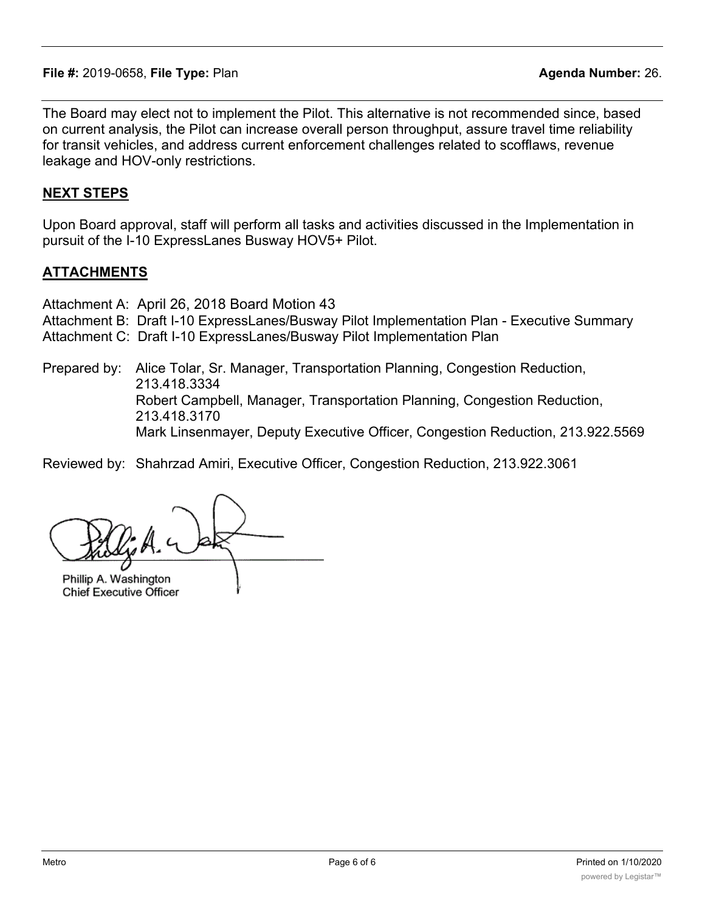The Board may elect not to implement the Pilot. This alternative is not recommended since, based on current analysis, the Pilot can increase overall person throughput, assure travel time reliability for transit vehicles, and address current enforcement challenges related to scofflaws, revenue leakage and HOV-only restrictions.

# **NEXT STEPS**

Upon Board approval, staff will perform all tasks and activities discussed in the Implementation in pursuit of the I-10 ExpressLanes Busway HOV5+ Pilot.

# **ATTACHMENTS**

- Attachment A: April 26, 2018 Board Motion 43
- Attachment B: Draft I-10 ExpressLanes/Busway Pilot Implementation Plan Executive Summary
- Attachment C: Draft I-10 ExpressLanes/Busway Pilot Implementation Plan
- Prepared by: Alice Tolar, Sr. Manager, Transportation Planning, Congestion Reduction, 213.418.3334 Robert Campbell, Manager, Transportation Planning, Congestion Reduction, 213.418.3170 Mark Linsenmayer, Deputy Executive Officer, Congestion Reduction, 213.922.5569

Reviewed by: Shahrzad Amiri, Executive Officer, Congestion Reduction, 213.922.3061

Phillip A. Washington Chief Executive Officer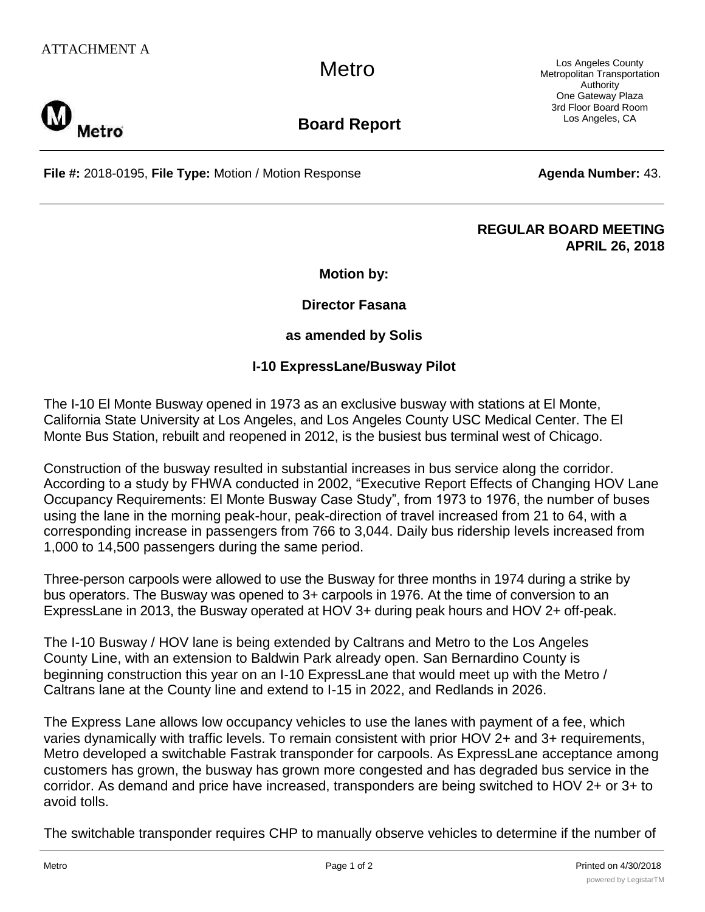Metro Los Angeles County Metropolitan Transportation One Gateway Plaza 3rd Floor Board Room<br>Los Angeles, CA

Metro

**Board Report** 

**File #:** 2018-0195, **File Type:** Motion / Motion Response **Agentia Rumber: 43. Agenda Number: 43.** 

**REGULAR BOARD MEETING APRIL 26, 2018**

Authority

**Motion by:**

**Director Fasana**

## **as amended by Solis**

# **I-10 ExpressLane/Busway Pilot**

The I-10 El Monte Busway opened in 1973 as an exclusive busway with stations at El Monte, California State University at Los Angeles, and Los Angeles County USC Medical Center. The El Monte Bus Station, rebuilt and reopened in 2012, is the busiest bus terminal west of Chicago.

Construction of the busway resulted in substantial increases in bus service along the corridor. According to a study by FHWA conducted in 2002, "Executive Report Effects of Changing HOV Lane Occupancy Requirements: El Monte Busway Case Study", from 1973 to 1976, the number of buses using the lane in the morning peak-hour, peak-direction of travel increased from 21 to 64, with a corresponding increase in passengers from 766 to 3,044. Daily bus ridership levels increased from 1,000 to 14,500 passengers during the same period.

Three-person carpools were allowed to use the Busway for three months in 1974 during a strike by bus operators. The Busway was opened to 3+ carpools in 1976. At the time of conversion to an ExpressLane in 2013, the Busway operated at HOV 3+ during peak hours and HOV 2+ off-peak.

The I-10 Busway / HOV lane is being extended by Caltrans and Metro to the Los Angeles County Line, with an extension to Baldwin Park already open. San Bernardino County is beginning construction this year on an I-10 ExpressLane that would meet up with the Metro / Caltrans lane at the County line and extend to I-15 in 2022, and Redlands in 2026.

The Express Lane allows low occupancy vehicles to use the lanes with payment of a fee, which varies dynamically with traffic levels. To remain consistent with prior HOV 2+ and 3+ requirements, Metro developed a switchable Fastrak transponder for carpools. As ExpressLane acceptance among customers has grown, the busway has grown more congested and has degraded bus service in the corridor. As demand and price have increased, transponders are being switched to HOV 2+ or 3+ to avoid tolls.

The switchable transponder requires CHP to manually observe vehicles to determine if the number of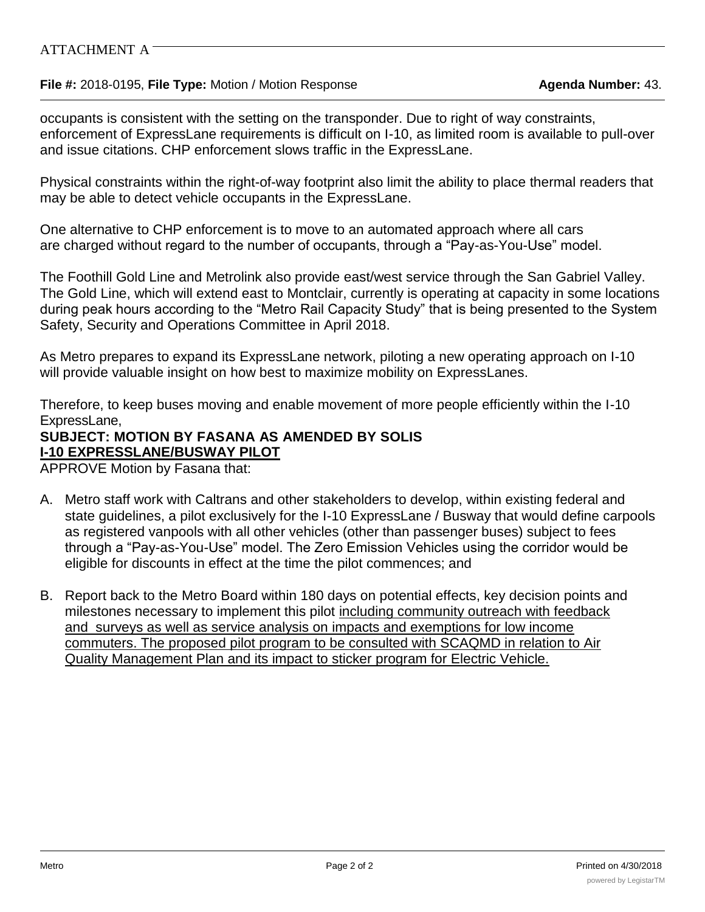# **File #:** 2018-0195, **File Type:** Motion / Motion Response **Agenda Number:** 43.

occupants is consistent with the setting on the transponder. Due to right of way constraints, enforcement of ExpressLane requirements is difficult on I-10, as limited room is available to pull-over and issue citations. CHP enforcement slows traffic in the ExpressLane.

Physical constraints within the right-of-way footprint also limit the ability to place thermal readers that may be able to detect vehicle occupants in the ExpressLane.

One alternative to CHP enforcement is to move to an automated approach where all cars are charged without regard to the number of occupants, through a "Pay-as-You-Use" model.

The Foothill Gold Line and Metrolink also provide east/west service through the San Gabriel Valley. The Gold Line, which will extend east to Montclair, currently is operating at capacity in some locations during peak hours according to the "Metro Rail Capacity Study" that is being presented to the System Safety, Security and Operations Committee in April 2018.

As Metro prepares to expand its ExpressLane network, piloting a new operating approach on I-10 will provide valuable insight on how best to maximize mobility on ExpressLanes.

Therefore, to keep buses moving and enable movement of more people efficiently within the I-10 ExpressLane,

# **SUBJECT: MOTION BY FASANA AS AMENDED BY SOLIS**

**I-10 EXPRESSLANE/BUSWAY PILOT** 

APPROVE Motion by Fasana that:

- A. Metro staff work with Caltrans and other stakeholders to develop, within existing federal and state guidelines, a pilot exclusively for the I-10 ExpressLane / Busway that would define carpools as registered vanpools with all other vehicles (other than passenger buses) subject to fees through a "Pay-as-You-Use" model. The Zero Emission Vehicles using the corridor would be eligible for discounts in effect at the time the pilot commences; and
- B. Report back to the Metro Board within 180 days on potential effects, key decision points and milestones necessary to implement this pilot including community outreach with feedback and surveys as well as service analysis on impacts and exemptions for low income commuters. The proposed pilot program to be consulted with SCAQMD in relation to Air Quality Management Plan and its impact to sticker program for Electric Vehicle.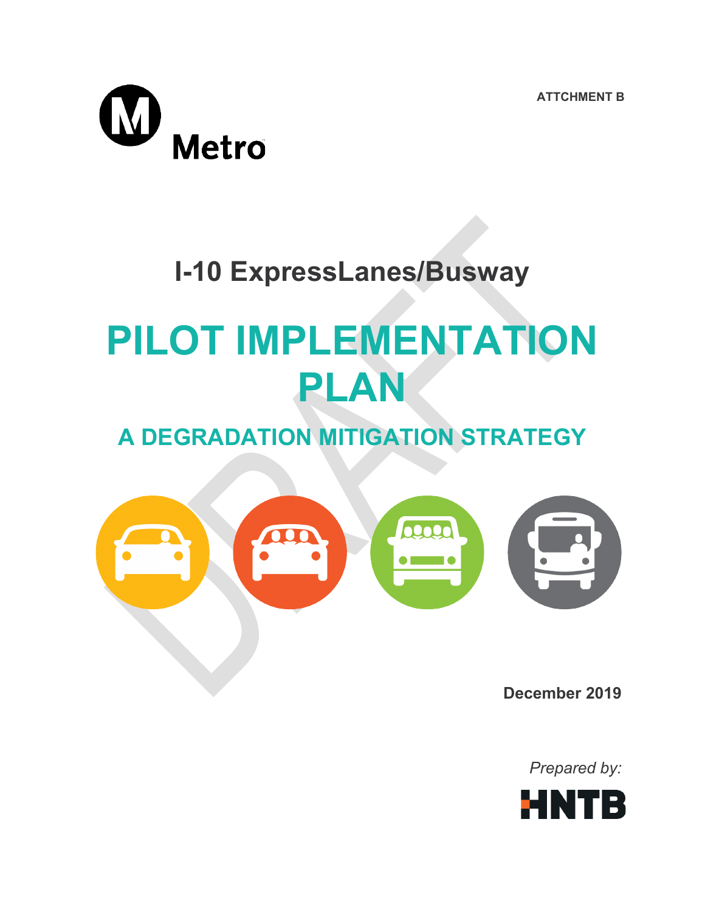**ATTCHMENT B**



# **I-10 ExpressLanes/Busway**

# **PILOT IMPLEMENTATION PLAN**

# **A DEGRADATION MITIGATION STRATEGY**



**December 2019**

*Prepared by:*

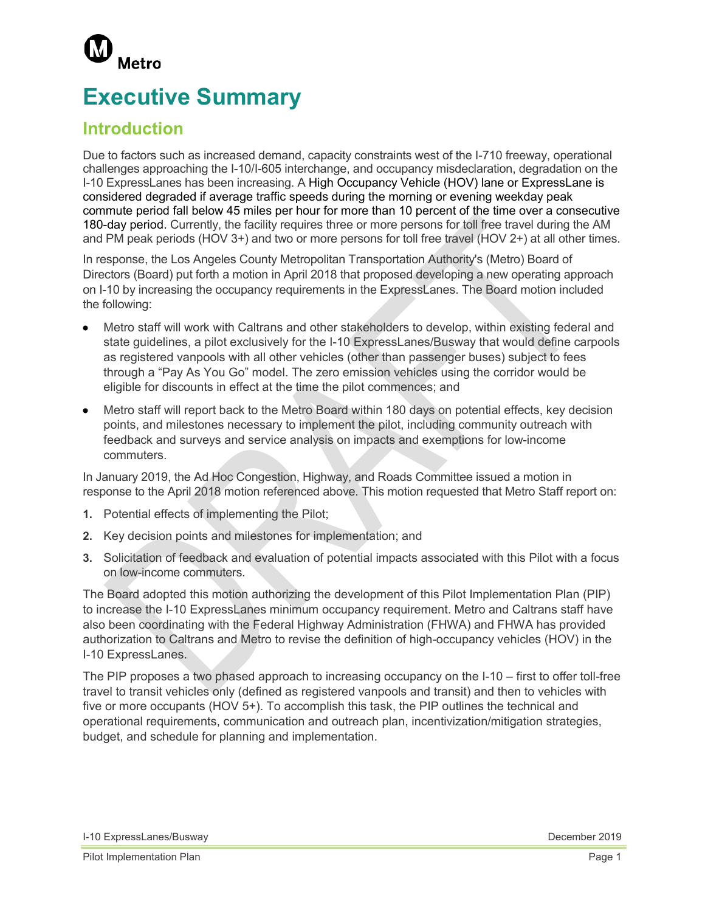

# **Executive Summary**

# **Introduction**

Due to factors such as increased demand, capacity constraints west of the I-710 freeway, operational challenges approaching the I-10/I-605 interchange, and occupancy misdeclaration, degradation on the I-10 ExpressLanes has been increasing. A High Occupancy Vehicle (HOV) lane or ExpressLane is considered degraded if average traffic speeds during the morning or evening weekday peak commute period fall below 45 miles per hour for more than 10 percent of the time over a consecutive 180-day period. Currently, the facility requires three or more persons for toll free travel during the AM and PM peak periods (HOV 3+) and two or more persons for toll free travel (HOV 2+) at all other times.

In response, the Los Angeles County Metropolitan Transportation Authority's (Metro) Board of Directors (Board) put forth a motion in April 2018 that proposed developing a new operating approach on I-10 by increasing the occupancy requirements in the ExpressLanes. The Board motion included the following:

- Metro staff will work with Caltrans and other stakeholders to develop, within existing federal and state guidelines, a pilot exclusively for the I-10 ExpressLanes/Busway that would define carpools as registered vanpools with all other vehicles (other than passenger buses) subject to fees through a "Pay As You Go" model. The zero emission vehicles using the corridor would be eligible for discounts in effect at the time the pilot commences; and
- Metro staff will report back to the Metro Board within 180 days on potential effects, key decision points, and milestones necessary to implement the pilot, including community outreach with feedback and surveys and service analysis on impacts and exemptions for low-income commuters.

In January 2019, the Ad Hoc Congestion, Highway, and Roads Committee issued a motion in response to the April 2018 motion referenced above. This motion requested that Metro Staff report on:

- **1.** Potential effects of implementing the Pilot;
- **2.** Key decision points and milestones for implementation; and
- **3.** Solicitation of feedback and evaluation of potential impacts associated with this Pilot with a focus on low-income commuters.

The Board adopted this motion authorizing the development of this Pilot Implementation Plan (PIP) to increase the I-10 ExpressLanes minimum occupancy requirement. Metro and Caltrans staff have also been coordinating with the Federal Highway Administration (FHWA) and FHWA has provided authorization to Caltrans and Metro to revise the definition of high-occupancy vehicles (HOV) in the I-10 ExpressLanes.

The PIP proposes a two phased approach to increasing occupancy on the I-10 – first to offer toll-free travel to transit vehicles only (defined as registered vanpools and transit) and then to vehicles with five or more occupants (HOV 5+). To accomplish this task, the PIP outlines the technical and operational requirements, communication and outreach plan, incentivization/mitigation strategies, budget, and schedule for planning and implementation.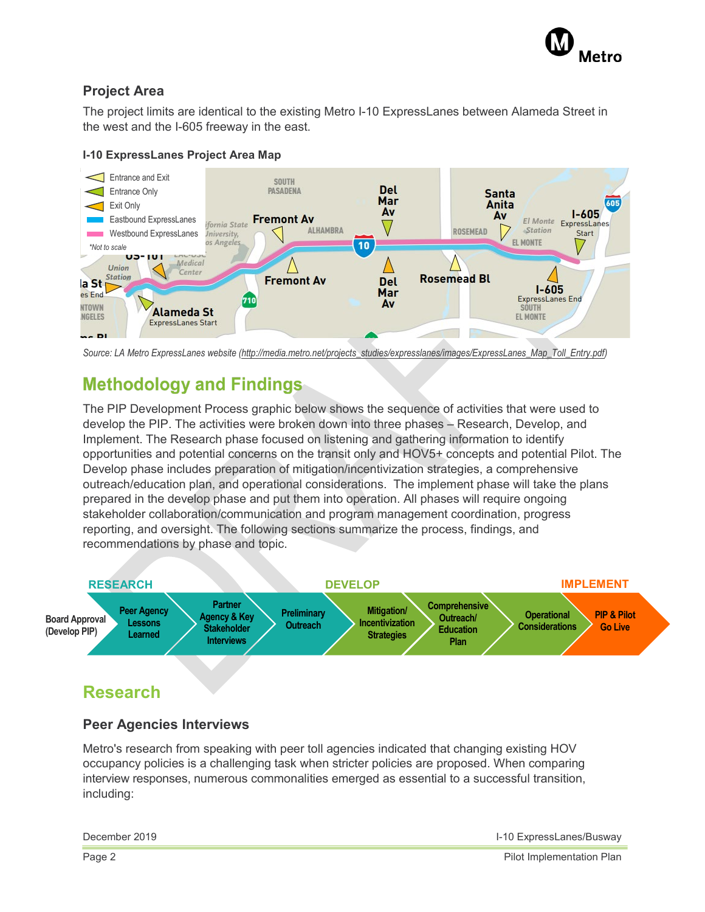

# **Project Area**

The project limits are identical to the existing Metro I-10 ExpressLanes between Alameda Street in the west and the I-605 freeway in the east.

# **I-10 ExpressLanes Project Area Map**



*Source: LA Metro ExpressLanes website [\(http://media.metro.net/projects\\_studies/expresslanes/images/ExpressLanes\\_Map\\_Toll\\_Entry.pdf\)](http://media.metro.net/projects_studies/expresslanes/images/ExpressLanes_Map_Toll_Entry.pdf)*

# **Methodology and Findings**

The PIP Development Process graphic below shows the sequence of activities that were used to develop the PIP. The activities were broken down into three phases – Research, Develop, and Implement. The Research phase focused on listening and gathering information to identify opportunities and potential concerns on the transit only and HOV5+ concepts and potential Pilot. The Develop phase includes preparation of mitigation/incentivization strategies, a comprehensive outreach/education plan, and operational considerations. The implement phase will take the plans prepared in the develop phase and put them into operation. All phases will require ongoing stakeholder collaboration/communication and program management coordination, progress reporting, and oversight. The following sections summarize the process, findings, and recommendations by phase and topic.



# **Peer Agencies Interviews**

Metro's research from speaking with peer toll agencies indicated that changing existing HOV occupancy policies is a challenging task when stricter policies are proposed. When comparing interview responses, numerous commonalities emerged as essential to a successful transition, including:

| December 2019 | I-10 ExpressLanes/Busway |
|---------------|--------------------------|
|               |                          |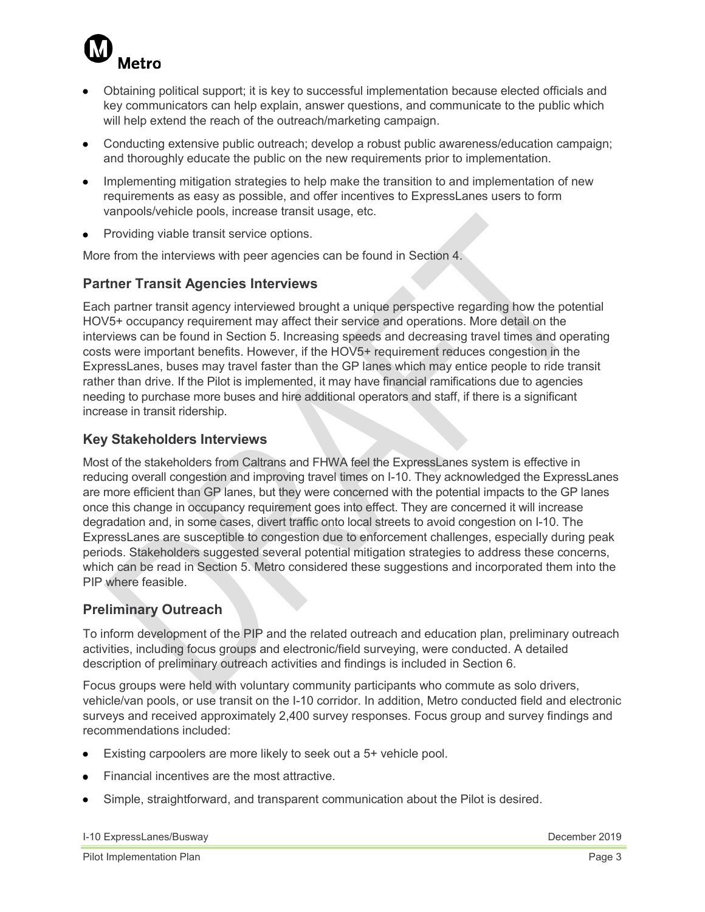

- Obtaining political support; it is key to successful implementation because elected officials and key communicators can help explain, answer questions, and communicate to the public which will help extend the reach of the outreach/marketing campaign.
- Conducting extensive public outreach; develop a robust public awareness/education campaign; and thoroughly educate the public on the new requirements prior to implementation.
- Implementing mitigation strategies to help make the transition to and implementation of new requirements as easy as possible, and offer incentives to ExpressLanes users to form vanpools/vehicle pools, increase transit usage, etc.
- Providing viable transit service options.

More from the interviews with peer agencies can be found in Section 4.

# **Partner Transit Agencies Interviews**

Each partner transit agency interviewed brought a unique perspective regarding how the potential HOV5+ occupancy requirement may affect their service and operations. More detail on the interviews can be found in Section 5. Increasing speeds and decreasing travel times and operating costs were important benefits. However, if the HOV5+ requirement reduces congestion in the ExpressLanes, buses may travel faster than the GP lanes which may entice people to ride transit rather than drive. If the Pilot is implemented, it may have financial ramifications due to agencies needing to purchase more buses and hire additional operators and staff, if there is a significant increase in transit ridership.

# **Key Stakeholders Interviews**

Most of the stakeholders from Caltrans and FHWA feel the ExpressLanes system is effective in reducing overall congestion and improving travel times on I-10. They acknowledged the ExpressLanes are more efficient than GP lanes, but they were concerned with the potential impacts to the GP lanes once this change in occupancy requirement goes into effect. They are concerned it will increase degradation and, in some cases, divert traffic onto local streets to avoid congestion on I-10. The ExpressLanes are susceptible to congestion due to enforcement challenges, especially during peak periods. Stakeholders suggested several potential mitigation strategies to address these concerns, which can be read in Section 5. Metro considered these suggestions and incorporated them into the PIP where feasible.

# **Preliminary Outreach**

To inform development of the PIP and the related outreach and education plan, preliminary outreach activities, including focus groups and electronic/field surveying, were conducted. A detailed description of preliminary outreach activities and findings is included in Section 6.

Focus groups were held with voluntary community participants who commute as solo drivers, vehicle/van pools, or use transit on the I-10 corridor. In addition, Metro conducted field and electronic surveys and received approximately 2,400 survey responses. Focus group and survey findings and recommendations included:

- Existing carpoolers are more likely to seek out a 5+ vehicle pool.
- Financial incentives are the most attractive.
- Simple, straightforward, and transparent communication about the Pilot is desired.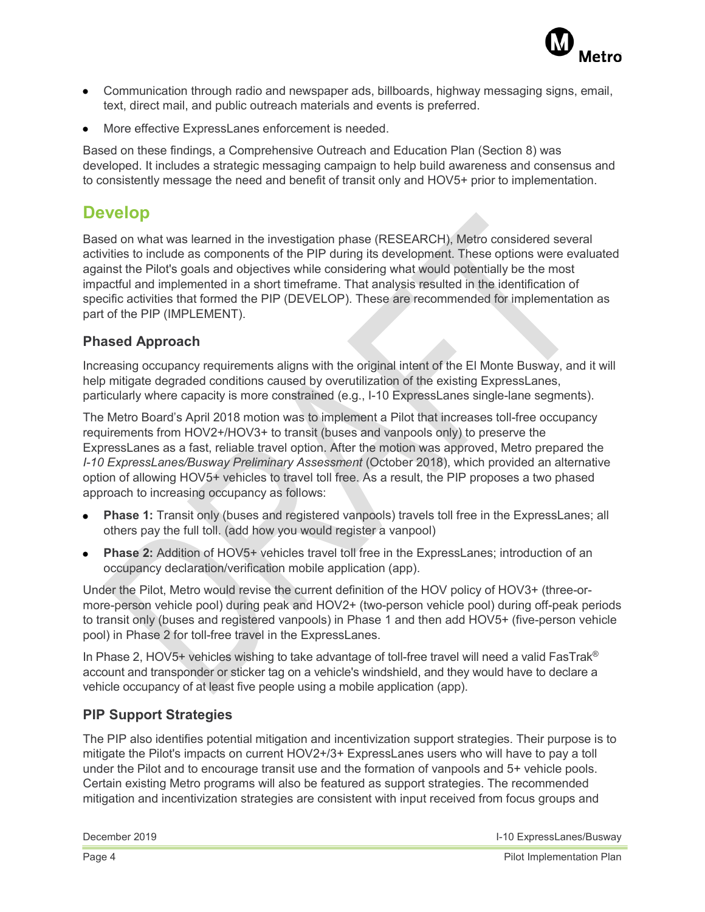

- Communication through radio and newspaper ads, billboards, highway messaging signs, email, text, direct mail, and public outreach materials and events is preferred.
- More effective ExpressLanes enforcement is needed.

Based on these findings, a Comprehensive Outreach and Education Plan (Section 8) was developed. It includes a strategic messaging campaign to help build awareness and consensus and to consistently message the need and benefit of transit only and HOV5+ prior to implementation.

# **Develop**

Based on what was learned in the investigation phase (RESEARCH), Metro considered several activities to include as components of the PIP during its development. These options were evaluated against the Pilot's goals and objectives while considering what would potentially be the most impactful and implemented in a short timeframe. That analysis resulted in the identification of specific activities that formed the PIP (DEVELOP). These are recommended for implementation as part of the PIP (IMPLEMENT).

# **Phased Approach**

Increasing occupancy requirements aligns with the original intent of the El Monte Busway, and it will help mitigate degraded conditions caused by overutilization of the existing ExpressLanes, particularly where capacity is more constrained (e.g., I-10 ExpressLanes single-lane segments).

The Metro Board's April 2018 motion was to implement a Pilot that increases toll-free occupancy requirements from HOV2+/HOV3+ to transit (buses and vanpools only) to preserve the ExpressLanes as a fast, reliable travel option. After the motion was approved, Metro prepared the *I-10 ExpressLanes/Busway Preliminary Assessment* (October 2018), which provided an alternative option of allowing HOV5+ vehicles to travel toll free. As a result, the PIP proposes a two phased approach to increasing occupancy as follows:

- **Phase 1:** Transit only (buses and registered vanpools) travels toll free in the ExpressLanes; all others pay the full toll. (add how you would register a vanpool)
- **Phase 2:** Addition of HOV5+ vehicles travel toll free in the ExpressLanes; introduction of an occupancy declaration/verification mobile application (app).

Under the Pilot, Metro would revise the current definition of the HOV policy of HOV3+ (three-ormore-person vehicle pool) during peak and HOV2+ (two-person vehicle pool) during off-peak periods to transit only (buses and registered vanpools) in Phase 1 and then add HOV5+ (five-person vehicle pool) in Phase 2 for toll-free travel in the ExpressLanes.

In Phase 2, HOV5+ vehicles wishing to take advantage of toll-free travel will need a valid FasTrak<sup>®</sup> account and transponder or sticker tag on a vehicle's windshield, and they would have to declare a vehicle occupancy of at least five people using a mobile application (app).

# **PIP Support Strategies**

The PIP also identifies potential mitigation and incentivization support strategies. Their purpose is to mitigate the Pilot's impacts on current HOV2+/3+ ExpressLanes users who will have to pay a toll under the Pilot and to encourage transit use and the formation of vanpools and 5+ vehicle pools. Certain existing Metro programs will also be featured as support strategies. The recommended mitigation and incentivization strategies are consistent with input received from focus groups and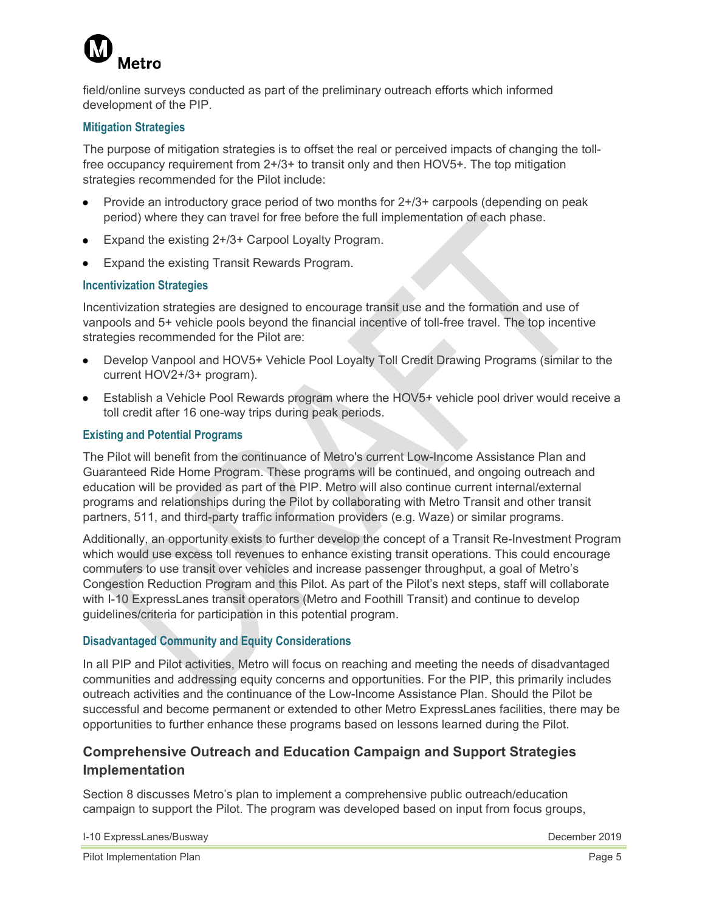

field/online surveys conducted as part of the preliminary outreach efforts which informed development of the PIP.

## **Mitigation Strategies**

The purpose of mitigation strategies is to offset the real or perceived impacts of changing the tollfree occupancy requirement from 2+/3+ to transit only and then HOV5+. The top mitigation strategies recommended for the Pilot include:

- Provide an introductory grace period of two months for 2+/3+ carpools (depending on peak period) where they can travel for free before the full implementation of each phase.
- Expand the existing 2+/3+ Carpool Loyalty Program.
- Expand the existing Transit Rewards Program.

#### **Incentivization Strategies**

Incentivization strategies are designed to encourage transit use and the formation and use of vanpools and 5+ vehicle pools beyond the financial incentive of toll-free travel. The top incentive strategies recommended for the Pilot are:

- Develop Vanpool and HOV5+ Vehicle Pool Loyalty Toll Credit Drawing Programs (similar to the current HOV2+/3+ program).
- Establish a Vehicle Pool Rewards program where the HOV5+ vehicle pool driver would receive a toll credit after 16 one-way trips during peak periods.

#### **Existing and Potential Programs**

The Pilot will benefit from the continuance of Metro's current Low-Income Assistance Plan and Guaranteed Ride Home Program. These programs will be continued, and ongoing outreach and education will be provided as part of the PIP. Metro will also continue current internal/external programs and relationships during the Pilot by collaborating with Metro Transit and other transit partners, 511, and third-party traffic information providers (e.g. Waze) or similar programs.

Additionally, an opportunity exists to further develop the concept of a Transit Re-Investment Program which would use excess toll revenues to enhance existing transit operations. This could encourage commuters to use transit over vehicles and increase passenger throughput, a goal of Metro's Congestion Reduction Program and this Pilot. As part of the Pilot's next steps, staff will collaborate with I-10 ExpressLanes transit operators (Metro and Foothill Transit) and continue to develop guidelines/criteria for participation in this potential program.

## **Disadvantaged Community and Equity Considerations**

In all PIP and Pilot activities, Metro will focus on reaching and meeting the needs of disadvantaged communities and addressing equity concerns and opportunities. For the PIP, this primarily includes outreach activities and the continuance of the Low-Income Assistance Plan. Should the Pilot be successful and become permanent or extended to other Metro ExpressLanes facilities, there may be opportunities to further enhance these programs based on lessons learned during the Pilot.

# **Comprehensive Outreach and Education Campaign and Support Strategies Implementation**

Section 8 discusses Metro's plan to implement a comprehensive public outreach/education campaign to support the Pilot. The program was developed based on input from focus groups,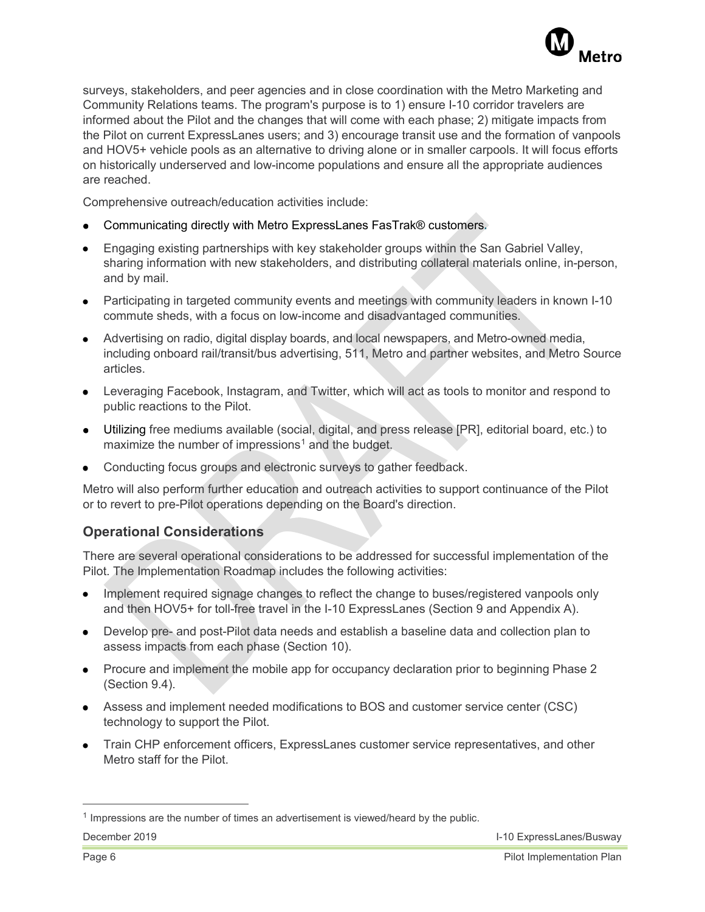

surveys, stakeholders, and peer agencies and in close coordination with the Metro Marketing and Community Relations teams. The program's purpose is to 1) ensure I-10 corridor travelers are informed about the Pilot and the changes that will come with each phase; 2) mitigate impacts from the Pilot on current ExpressLanes users; and 3) encourage transit use and the formation of vanpools and HOV5+ vehicle pools as an alternative to driving alone or in smaller carpools. It will focus efforts on historically underserved and low-income populations and ensure all the appropriate audiences are reached.

Comprehensive outreach/education activities include:

- Communicating directly with Metro ExpressLanes FasTrak® customers**.**
- Engaging existing partnerships with key stakeholder groups within the San Gabriel Valley, sharing information with new stakeholders, and distributing collateral materials online, in-person, and by mail.
- Participating in targeted community events and meetings with community leaders in known I-10 commute sheds, with a focus on low-income and disadvantaged communities.
- Advertising on radio, digital display boards, and local newspapers, and Metro-owned media, including onboard rail/transit/bus advertising, 511, Metro and partner websites, and Metro Source articles.
- Leveraging Facebook, Instagram, and Twitter, which will act as tools to monitor and respond to public reactions to the Pilot.
- Utilizing free mediums available (social, digital, and press release [PR], editorial board, etc.) to maximize the number of impressions<sup>[1](#page-14-0)</sup> and the budget.
- Conducting focus groups and electronic surveys to gather feedback.

Metro will also perform further education and outreach activities to support continuance of the Pilot or to revert to pre-Pilot operations depending on the Board's direction.

# **Operational Considerations**

There are several operational considerations to be addressed for successful implementation of the Pilot. The Implementation Roadmap includes the following activities:

- Implement required signage changes to reflect the change to buses/registered vanpools only and then HOV5+ for toll-free travel in the I-10 ExpressLanes (Section 9 and Appendix A).
- Develop pre- and post-Pilot data needs and establish a baseline data and collection plan to assess impacts from each phase (Section 10).
- Procure and implement the mobile app for occupancy declaration prior to beginning Phase 2 (Section 9.4).
- Assess and implement needed modifications to BOS and customer service center (CSC) technology to support the Pilot.
- Train CHP enforcement officers, ExpressLanes customer service representatives, and other Metro staff for the Pilot.

<span id="page-14-0"></span> $1$  Impressions are the number of times an advertisement is viewed/heard by the public.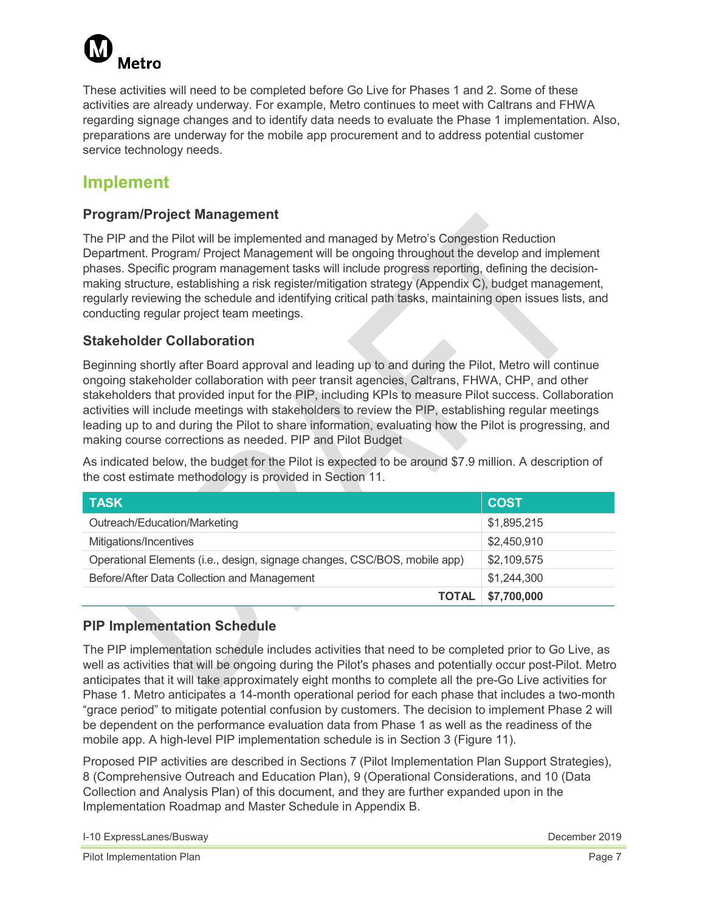

These activities will need to be completed before Go Live for Phases 1 and 2. Some of these activities are already underway. For example, Metro continues to meet with Caltrans and FHWA regarding signage changes and to identify data needs to evaluate the Phase 1 implementation. Also, preparations are underway for the mobile app procurement and to address potential customer service technology needs.

# **Implement**

# **Program/Project Management**

The PIP and the Pilot will be implemented and managed by Metro's Congestion Reduction Department. Program/ Project Management will be ongoing throughout the develop and implement phases. Specific program management tasks will include progress reporting, defining the decisionmaking structure, establishing a risk register/mitigation strategy (Appendix C), budget management, regularly reviewing the schedule and identifying critical path tasks, maintaining open issues lists, and conducting regular project team meetings.

# **Stakeholder Collaboration**

Beginning shortly after Board approval and leading up to and during the Pilot, Metro will continue ongoing stakeholder collaboration with peer transit agencies, Caltrans, FHWA, CHP, and other stakeholders that provided input for the PIP, including KPIs to measure Pilot success. Collaboration activities will include meetings with stakeholders to review the PIP, establishing regular meetings leading up to and during the Pilot to share information, evaluating how the Pilot is progressing, and making course corrections as needed. PIP and Pilot Budget

As indicated below, the budget for the Pilot is expected to be around \$7.9 million. A description of the cost estimate methodology is provided in Section 11.

| <b>TASK</b>                                                               | <b>COST</b> |
|---------------------------------------------------------------------------|-------------|
| Outreach/Education/Marketing                                              | \$1,895,215 |
| Mitigations/Incentives                                                    | \$2,450,910 |
| Operational Elements (i.e., design, signage changes, CSC/BOS, mobile app) | \$2,109,575 |
| Before/After Data Collection and Management                               | \$1,244,300 |
| <b>TOTAL</b>                                                              | \$7,700,000 |

# **PIP Implementation Schedule**

The PIP implementation schedule includes activities that need to be completed prior to Go Live, as well as activities that will be ongoing during the Pilot's phases and potentially occur post-Pilot. Metro anticipates that it will take approximately eight months to complete all the pre-Go Live activities for Phase 1. Metro anticipates a 14-month operational period for each phase that includes a two-month "grace period" to mitigate potential confusion by customers. The decision to implement Phase 2 will be dependent on the performance evaluation data from Phase 1 as well as the readiness of the mobile app. A high-level PIP implementation schedule is in Section 3 (Figure 11).

Proposed PIP activities are described in Sections 7 (Pilot Implementation Plan Support Strategies), 8 (Comprehensive Outreach and Education Plan), 9 (Operational Considerations, and 10 (Data Collection and Analysis Plan) of this document, and they are further expanded upon in the Implementation Roadmap and Master Schedule in Appendix B.

| I-10 ExpressLanes/Busway |  |
|--------------------------|--|
|                          |  |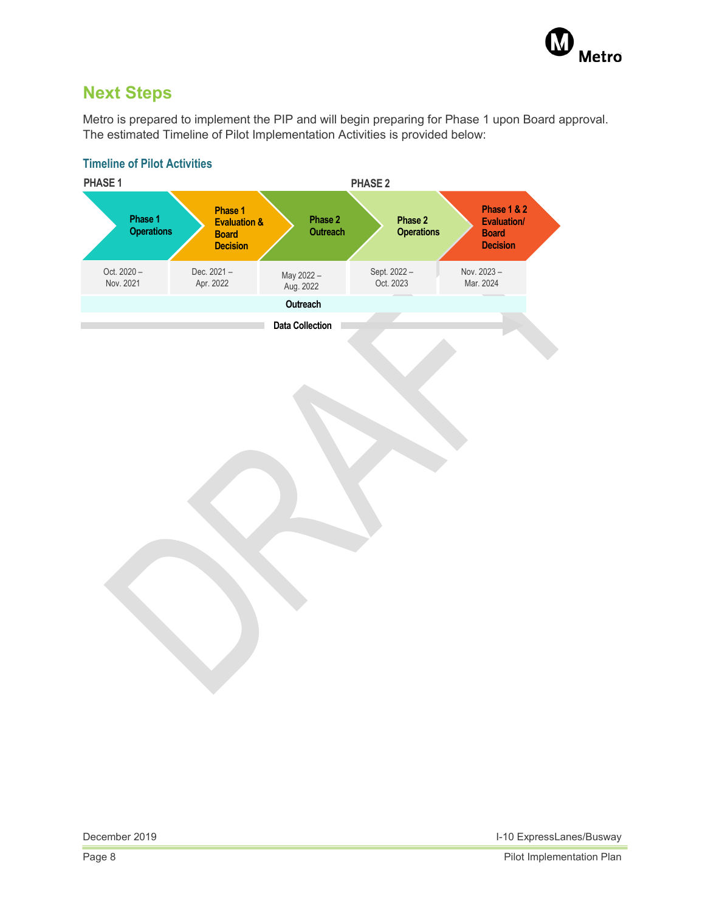

# **Next Steps**

Metro is prepared to implement the PIP and will begin preparing for Phase 1 upon Board approval. The estimated Timeline of Pilot Implementation Activities is provided below:

# **Timeline of Pilot Activities**



December 2019 **I-10 ExpressLanes/Busway**